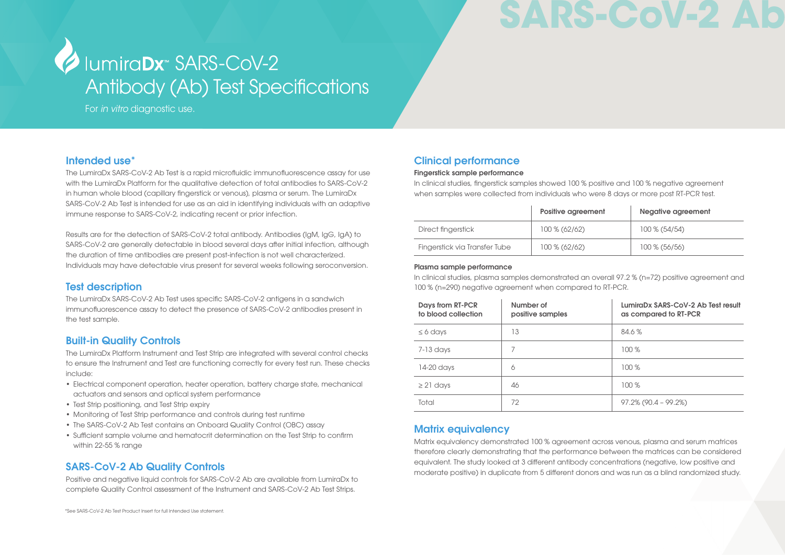# SARS-CoV-2

# Antibody (Ab) Test Specifications Jumira**Dx**<sup>\*</sup> SARS-CoV-2

For *in vitro* diagnostic use.

### Intended use\*

The LumiraDx SARS-CoV-2 Ab Test is a rapid microfluidic immunofluorescence assay for use with the LumiraDx Platform for the qualitative detection of total antibodies to SARS-CoV-2 in human whole blood (capillary fingerstick or venous), plasma or serum. The LumiraDx SARS-CoV-2 Ab Test is intended for use as an aid in identifying individuals with an adaptive immune response to SARS-CoV-2, indicating recent or prior infection.

Results are for the detection of SARS-CoV-2 total antibody. Antibodies (IgM, IgG, IgA) to SARS-CoV-2 are generally detectable in blood several days after initial infection, although the duration of time antibodies are present post-infection is not well characterized. Individuals may have detectable virus present for several weeks following seroconversion.

# Test description

The LumiraDx SARS-CoV-2 Ab Test uses specific SARS-CoV-2 antigens in a sandwich immunofluorescence assay to detect the presence of SARS-CoV-2 antibodies present in the test sample.

# Built-in Quality Controls

The LumiraDx Platform Instrument and Test Strip are integrated with several control checks to ensure the Instrument and Test are functioning correctly for every test run. These checks include:

- Electrical component operation, heater operation, battery charge state, mechanical actuators and sensors and optical system performance
- Test Strip positioning, and Test Strip expiry
- Monitoring of Test Strip performance and controls during test runtime
- The SARS-CoV-2 Ab Test contains an Onboard Quality Control (OBC) assay
- Sufficient sample volume and hematocrit determination on the Test Strip to confirm within 22-55 % range

# SARS-CoV-2 Ab Quality Controls

Positive and negative liquid controls for SARS-CoV-2 Ab are available from LumiraDx to complete Quality Control assessment of the Instrument and SARS-CoV-2 Ab Test Strips.

# Clinical performance

#### Fingerstick sample performance

In clinical studies, fingerstick samples showed 100 % positive and 100 % negative agreement when samples were collected from individuals who were 8 days or more post RT-PCR test.

|                               | Positive agreement | Negative agreement |
|-------------------------------|--------------------|--------------------|
| Direct fingerstick            | 100 % (62/62)      | 100 % (54/54)      |
| Fingerstick via Transfer Tube | 100 % (62/62)      | 100 % (56/56)      |

#### Plasma sample performance

In clinical studies, plasma samples demonstrated an overall 97.2 % (n=72) positive agreement and 100 % (n=290) negative agreement when compared to RT-PCR.

| Days from RT-PCR<br>to blood collection | Number of<br>positive samples | LumiraDx SARS-CoV-2 Ab Test result<br>as compared to RT-PCR |
|-----------------------------------------|-------------------------------|-------------------------------------------------------------|
| $\leq 6$ days                           | 13                            | 84.6 %                                                      |
| 7-13 days                               | 7                             | 100%                                                        |
| 14-20 days                              | 6                             | 100 %                                                       |
| $\geq$ 21 days                          | 46                            | 100 %                                                       |
| Total                                   | 72                            | $97.2\%$ (90.4 – 99.2%)                                     |

# Matrix equivalency

Matrix equivalency demonstrated 100 % agreement across venous, plasma and serum matrices therefore clearly demonstrating that the performance between the matrices can be considered equivalent. The study looked at 3 different antibody concentrations (negative, low positive and moderate positive) in duplicate from 5 different donors and was run as a blind randomized study.